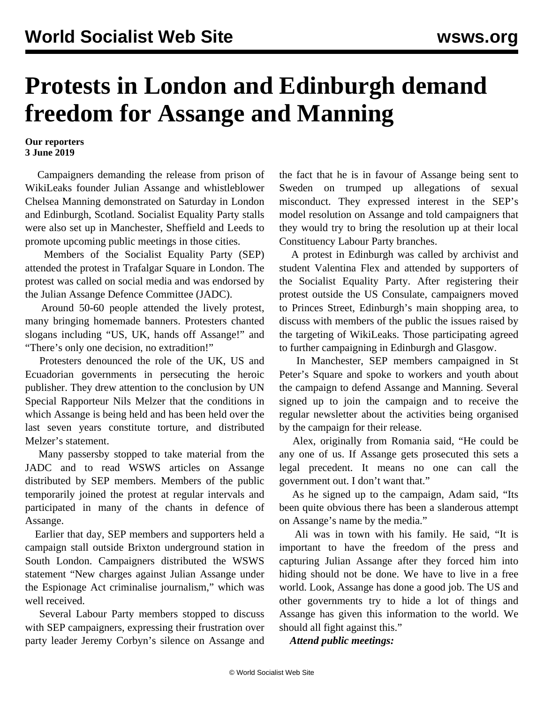# **Protests in London and Edinburgh demand freedom for Assange and Manning**

#### **Our reporters 3 June 2019**

 Campaigners demanding the release from prison of WikiLeaks founder Julian Assange and whistleblower Chelsea Manning demonstrated on Saturday in London and Edinburgh, Scotland. Socialist Equality Party stalls were also set up in Manchester, Sheffield and Leeds to promote upcoming [public meetings](/en/articles/2019/05/27/meet-m27-1.html) in those cities.

 Members of the Socialist Equality Party (SEP) attended the protest in Trafalgar Square in London. The protest was called on social media and was endorsed by the Julian Assange Defence Committee (JADC).

 Around 50-60 people attended the lively protest, many bringing homemade banners. Protesters chanted slogans including "US, UK, hands off Assange!" and "There's only one decision, no extradition!"

 Protesters denounced the role of the UK, US and Ecuadorian governments in persecuting the heroic publisher. They drew attention to the conclusion by UN Special Rapporteur Nils Melzer that the conditions in which Assange is being held and has been held over the last seven years constitute torture, and distributed Melzer's statement.

 Many passersby stopped to take material from the JADC and to read WSWS articles on Assange distributed by SEP members. Members of the public temporarily joined the protest at regular intervals and participated in many of the chants in defence of Assange.

 Earlier that day, SEP members and supporters held a campaign stall outside Brixton underground station in South London. Campaigners distributed the WSWS [statement](/en/articles/2019/05/24/pers-m24.html) "New charges against Julian Assange under the Espionage Act criminalise journalism," which was well received.

 Several Labour Party members stopped to discuss with SEP campaigners, expressing their frustration over party leader Jeremy Corbyn's silence on Assange and the fact that he is in favour of Assange being sent to Sweden on trumped up allegations of sexual misconduct. They expressed interest in the SEP's model resolution on Assange and told campaigners that they would try to bring the resolution up at their local Constituency Labour Party branches.

 A protest in Edinburgh was called by archivist and student Valentina Flex and attended by supporters of the Socialist Equality Party. After registering their protest outside the US Consulate, campaigners moved to Princes Street, Edinburgh's main shopping area, to discuss with members of the public the issues raised by the targeting of WikiLeaks. Those participating agreed to further campaigning in Edinburgh and Glasgow.

 In Manchester, SEP members campaigned in St Peter's Square and spoke to workers and youth about the campaign to defend Assange and Manning. Several signed up to [join the campaign](https://socialequality.org.uk/campaigns/julian-assange/) and to receive the regular newsletter about the activities being organised by the campaign for their release.

 Alex, originally from Romania said, "He could be any one of us. If Assange gets prosecuted this sets a legal precedent. It means no one can call the government out. I don't want that."

 As he signed up to the campaign, Adam said, "Its been quite obvious there has been a slanderous attempt on Assange's name by the media."

 Ali was in town with his family. He said, "It is important to have the freedom of the press and capturing Julian Assange after they forced him into hiding should not be done. We have to live in a free world. Look, Assange has done a good job. The US and other governments try to hide a lot of things and Assange has given this information to the world. We should all fight against this."

*Attend public meetings:*